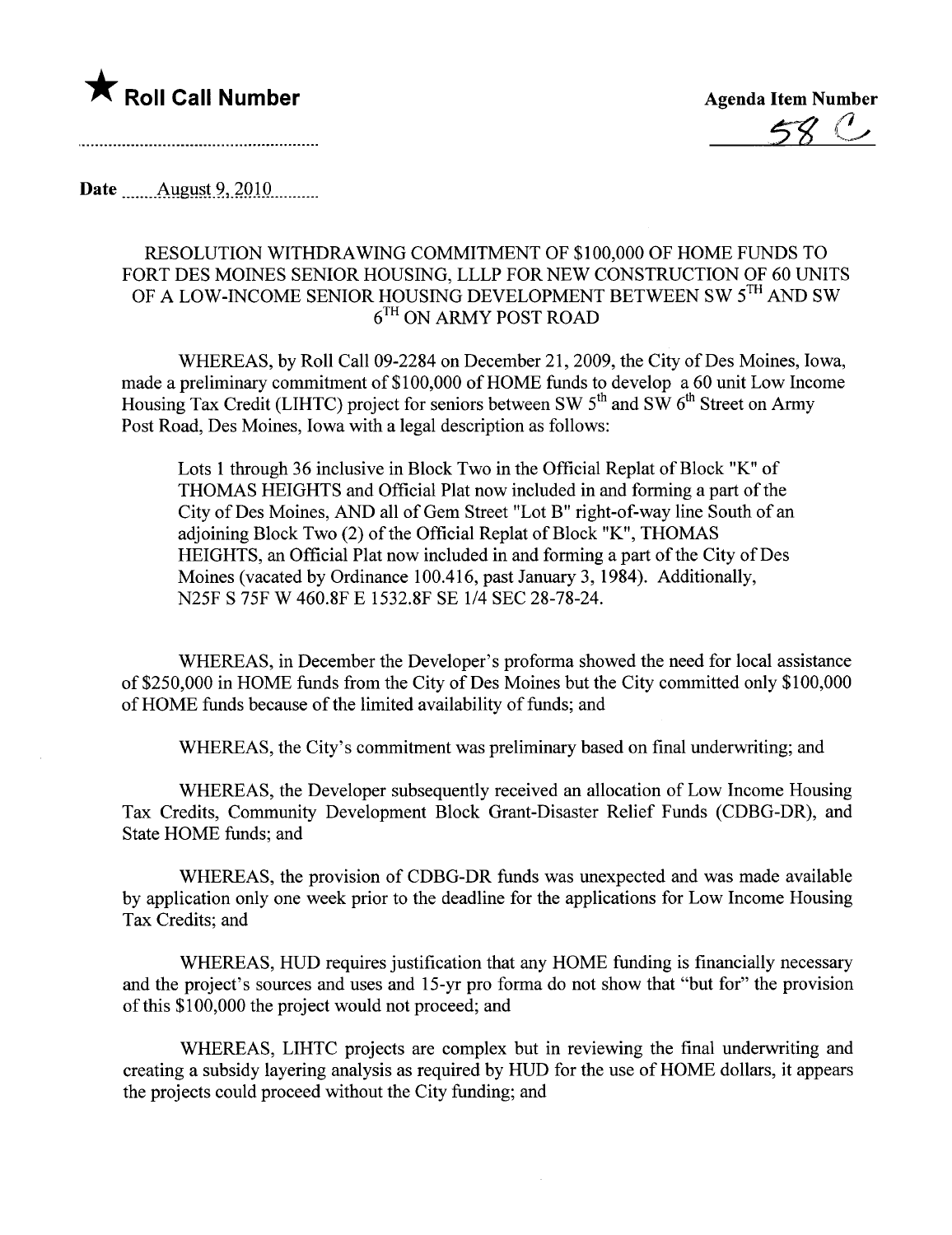

**\*** Roll Call Number  $\overline{58}$  .

Date  $\qquad$  August 9, 2010

## RESOLUTION WITHDRAWING COMMITMENT OF \$100,000 OF HOME FUNDS TO FORT DES MOINES SENIOR HOUSING, LLLP FOR NEW CONSTRUCTION OF 60 UNITS OF A LOW-INCOME SENIOR HOUSING DEVELOPMENT BETWEEN SW 5TH AND SW 6TH ON ARMY POST ROAD

WHEREAS, by Roll Call 09-2284 on December 21,2009, the City of Des Moines, Iowa, made a preliminary commitment of \$100,000 of HOME funds to develop a 60 unit Low Income Housing Tax Credit (LIHTC) project for seniors between SW  $5<sup>th</sup>$  and SW  $6<sup>th</sup>$  Street on Army Post Road, Des Moines, Iowa with a legal description as follows:

Lots 1 through 36 inclusive in Block Two in the Official Replat of Block "K" of THOMAS HEIGHTS and Official Plat now included in and forming a part of the City of Des Moines, AND all of Gem Street "Lot B" right-of-way line South of an adjoining Block Two (2) of the Official Replat of Block "K", THOMAS HEIGHTS, an Official Plat now included in and forming a part of the City of Des Moines (vacated by Ordinance 100.416, past January 3, 1984). Additionally, N25F S 75F W 460.8F E 1532.8F SE 1/4 SEC 28-78-24.

WHEREAS, in December the Developer's proforma showed the need for local assistance of \$250,000 in HOME funds from the City of Des Moines but the City committed only \$100,000 of HOME funds because of the limited availability of funds; and

WHEREAS, the City's commitment was preliminary based on final underwriting; and

WHEREAS, the Developer subsequently received an allocation of Low Income Housing Tax Credits, Community Development Block Grant-Disaster Relief Funds (CDBG-DR), and State HOME funds; and

WHEREAS, the provision of CDBG-DR fuds was unexpected and was made available by application only one week prior to the deadline for the applications for Low Income Housing Tax Credits; and

WHEREAS, HUD requires justification that any HOME funding is financially necessary and the project's sources and uses and 15-yr pro forma do not show that "but for" the provision of this \$100,000 the project would not proceed; and

WHEREAS, LIHTC projects are complex but in reviewing the final underwiting and creating a subsidy layering analysis as required by HUD for the use of HOME dollars, it appears the projects could proceed without the City funding; and